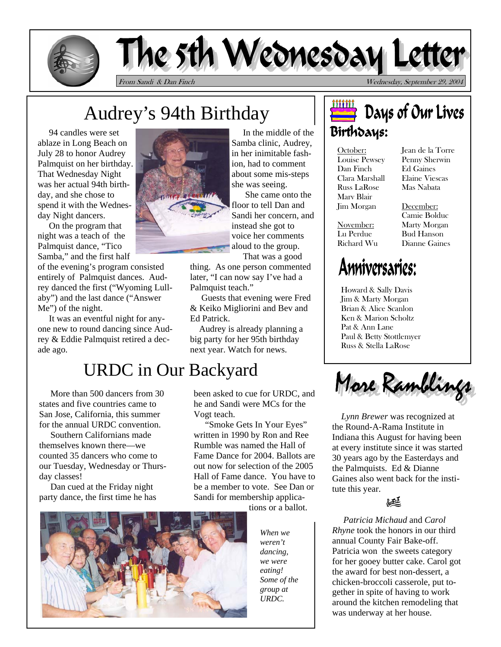

# The 5th Wednesday Lett

From Sandi & Dan Finch Wednesday, September 29, 2004

# Audrey's 94th Birthday

 94 candles were set ablaze in Long Beach on July 28 to honor Audrey Palmquist on her birthday. That Wednesday Night was her actual 94th birthday, and she chose to spend it with the Wednesday Night dancers.

 On the program that night was a teach of the Palmquist dance, "Tico Samba," and the first half

of the evening's program consisted entirely of Palmquist dances. Audrey danced the first ("Wyoming Lullaby") and the last dance ("Answer Me") of the night.

 It was an eventful night for anyone new to round dancing since Audrey & Eddie Palmquist retired a decade ago.

### URDC in Our Backyard

 More than 500 dancers from 30 states and five countries came to San Jose, California, this summer for the annual URDC convention.

 Southern Californians made themselves known there—we counted 35 dancers who come to our Tuesday, Wednesday or Thursday classes!

 Dan cued at the Friday night party dance, the first time he has



 In the middle of the Samba clinic, Audrey, in her inimitable fashion, had to comment about some mis-steps she was seeing.

 She came onto the floor to tell Dan and Sandi her concern, and instead she got to voice her comments aloud to the group. That was a good

thing. As one person commented later, "I can now say I've had a Palmquist teach."

 Guests that evening were Fred & Keiko Migliorini and Bev and Ed Patrick.

 Audrey is already planning a big party for her 95th birthday next year. Watch for news.

#### been asked to cue for URDC, and he and Sandi were MCs for the Vogt teach.

 "Smoke Gets In Your Eyes" written in 1990 by Ron and Ree Rumble was named the Hall of Fame Dance for 2004. Ballots are out now for selection of the 2005 Hall of Fame dance. You have to be a member to vote. See Dan or Sandi for membership applica-

tions or a ballot.



*When we weren't dancing, we were eating! Some of the group at URDC.* 

### Days of Our Lives Birthdays:

October: Louise Pewsey Dan Finch Clara Marshall Russ LaRose Marv Blair Jim Morgan

November: Lu Perdue Richard Wu Jean de la Torre Penny Sherwin Ed Gaines Elaine Viescas Mas Nabata

December: Camie Bolduc Marty Morgan Bud Hanson Dianne Gaines

## Anniversaries:

Howard & Sally Davis Jim & Marty Morgan Brian & Alice Scanlon Ken & Marion Scholtz Pat & Ann Lane Paul & Betty Stottlemyer Russ & Stella LaRose



 the Round-A-Rama Institute in *Lynn Brewer* was recognized at Indiana this August for having been at every institute since it was started 30 years ago by the Easterdays and the Palmquists. Ed & Dianne Gaines also went back for the institute this year.



 *Patricia Michaud* and *Carol Rhyne* took the honors in our third annual County Fair Bake-off. Patricia won the sweets category for her gooey butter cake. Carol got the award for best non-dessert, a chicken-broccoli casserole, put together in spite of having to work around the kitchen remodeling that was underway at her house.